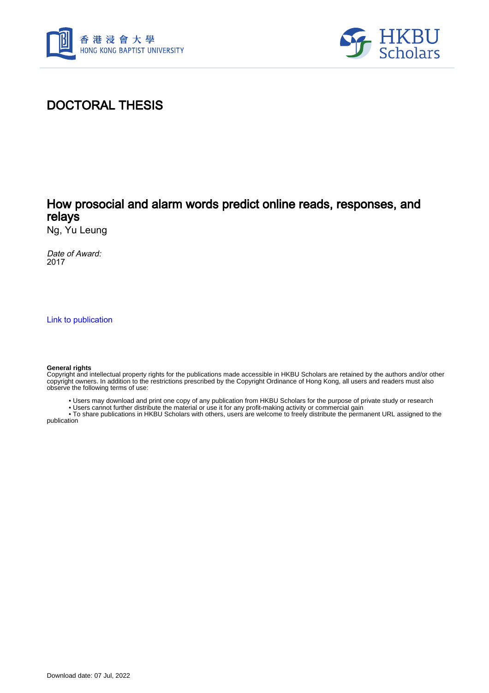



# DOCTORAL THESIS

## How prosocial and alarm words predict online reads, responses, and relays

Ng, Yu Leung

Date of Award: 2017

[Link to publication](https://scholars.hkbu.edu.hk/en/studentTheses/8df5fc01-03e3-4b2e-b9fc-c56bfe65b323)

#### **General rights**

Copyright and intellectual property rights for the publications made accessible in HKBU Scholars are retained by the authors and/or other copyright owners. In addition to the restrictions prescribed by the Copyright Ordinance of Hong Kong, all users and readers must also observe the following terms of use:

- Users may download and print one copy of any publication from HKBU Scholars for the purpose of private study or research
- Users cannot further distribute the material or use it for any profit-making activity or commercial gain

 • To share publications in HKBU Scholars with others, users are welcome to freely distribute the permanent URL assigned to the publication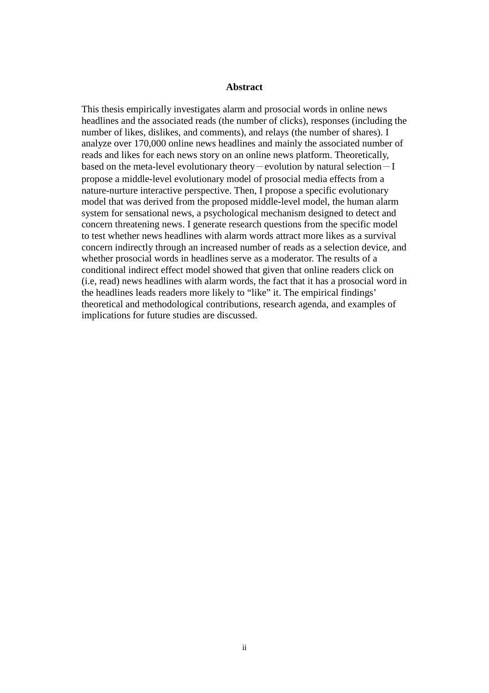### **Abstract**

This thesis empirically investigates alarm and prosocial words in online news headlines and the associated reads (the number of clicks), responses (including the number of likes, dislikes, and comments), and relays (the number of shares). I analyze over 170,000 online news headlines and mainly the associated number of reads and likes for each news story on an online news platform. Theoretically, based on the meta-level evolutionary theory-evolution by natural selection $-I$ propose a middle-level evolutionary model of prosocial media effects from a nature-nurture interactive perspective. Then, I propose a specific evolutionary model that was derived from the proposed middle-level model, the human alarm system for sensational news, a psychological mechanism designed to detect and concern threatening news. I generate research questions from the specific model to test whether news headlines with alarm words attract more likes as a survival concern indirectly through an increased number of reads as a selection device, and whether prosocial words in headlines serve as a moderator. The results of a conditional indirect effect model showed that given that online readers click on (i.e, read) news headlines with alarm words, the fact that it has a prosocial word in the headlines leads readers more likely to "like" it. The empirical findings' theoretical and methodological contributions, research agenda, and examples of implications for future studies are discussed.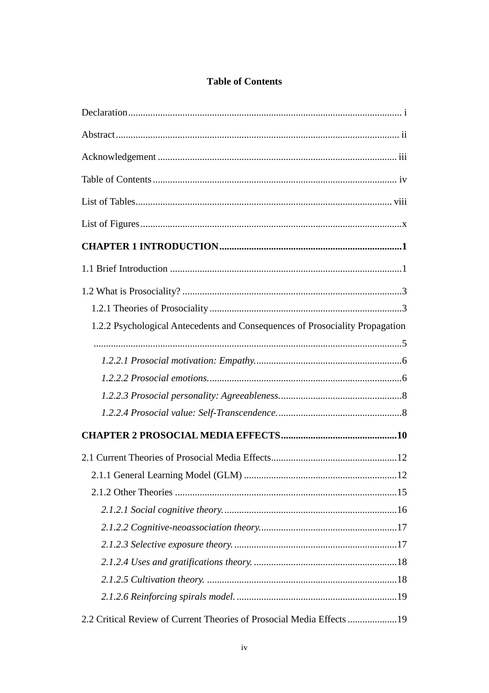### **Table of Contents**

| 1.2.2 Psychological Antecedents and Consequences of Prosociality Propagation |  |
|------------------------------------------------------------------------------|--|
|                                                                              |  |
|                                                                              |  |
|                                                                              |  |
|                                                                              |  |
|                                                                              |  |
|                                                                              |  |
|                                                                              |  |
|                                                                              |  |
|                                                                              |  |
|                                                                              |  |
|                                                                              |  |
|                                                                              |  |
|                                                                              |  |
|                                                                              |  |
|                                                                              |  |
| 2.2 Critical Review of Current Theories of Prosocial Media Effects           |  |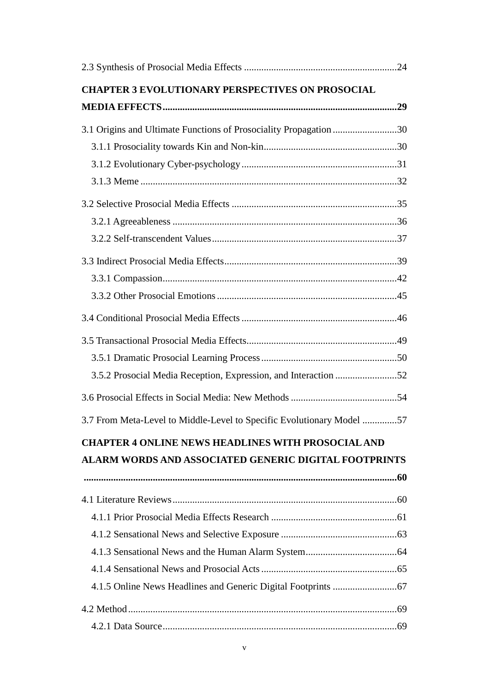| <b>CHAPTER 3 EVOLUTIONARY PERSPECTIVES ON PROSOCIAL</b>               |
|-----------------------------------------------------------------------|
|                                                                       |
| 3.1 Origins and Ultimate Functions of Prosociality Propagation 30     |
|                                                                       |
|                                                                       |
|                                                                       |
|                                                                       |
|                                                                       |
|                                                                       |
|                                                                       |
|                                                                       |
|                                                                       |
|                                                                       |
|                                                                       |
|                                                                       |
| 3.5.2 Prosocial Media Reception, Expression, and Interaction 52       |
|                                                                       |
| 3.7 From Meta-Level to Middle-Level to Specific Evolutionary Model 57 |
| <b>CHAPTER 4 ONLINE NEWS HEADLINES WITH PROSOCIAL AND</b>             |
| <b>ALARM WORDS AND ASSOCIATED GENERIC DIGITAL FOOTPRINTS</b>          |
|                                                                       |
|                                                                       |
|                                                                       |
|                                                                       |
|                                                                       |
|                                                                       |
|                                                                       |
|                                                                       |
|                                                                       |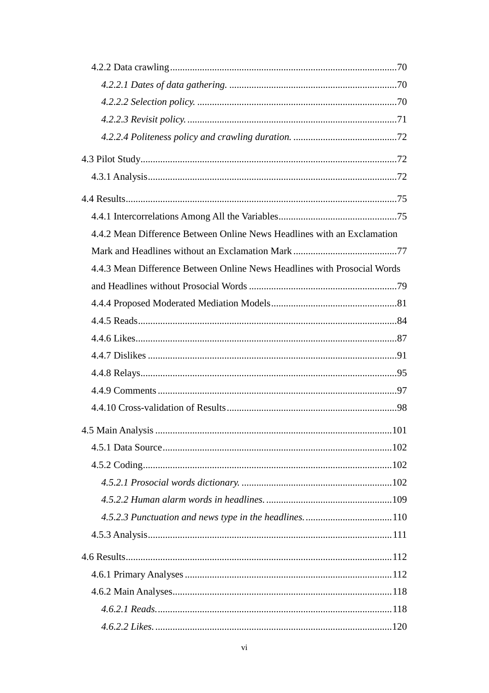| 4.4.2 Mean Difference Between Online News Headlines with an Exclamation  |  |
|--------------------------------------------------------------------------|--|
|                                                                          |  |
| 4.4.3 Mean Difference Between Online News Headlines with Prosocial Words |  |
|                                                                          |  |
|                                                                          |  |
|                                                                          |  |
|                                                                          |  |
|                                                                          |  |
|                                                                          |  |
|                                                                          |  |
|                                                                          |  |
|                                                                          |  |
|                                                                          |  |
|                                                                          |  |
|                                                                          |  |
|                                                                          |  |
|                                                                          |  |
|                                                                          |  |
|                                                                          |  |
|                                                                          |  |
|                                                                          |  |
|                                                                          |  |
|                                                                          |  |